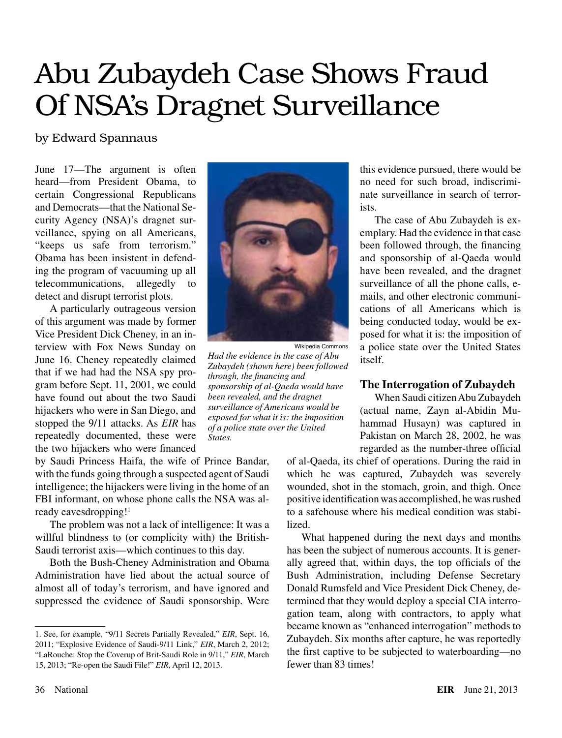# Abu Zubaydeh Case Shows Fraud Of NSA's Dragnet Surveillance

# by Edward Spannaus

June 17—The argument is often heard—from President Obama, to certain Congressional Republicans and Democrats—that the National Security Agency (NSA)'s dragnet surveillance, spying on all Americans, "keeps us safe from terrorism." Obama has been insistent in defending the program of vacuuming up all telecommunications, allegedly to detect and disrupt terrorist plots.

A particularly outrageous version of this argument was made by former Vice President Dick Cheney, in an interview with Fox News Sunday on June 16. Cheney repeatedly claimed that if we had had the NSA spy program before Sept. 11, 2001, we could have found out about the two Saudi hijackers who were in San Diego, and stopped the 9/11 attacks. As *EIR* has repeatedly documented, these were the two hijackers who were financed

by Saudi Princess Haifa, the wife of Prince Bandar, with the funds going through a suspected agent of Saudi intelligence; the hijackers were living in the home of an FBI informant, on whose phone calls the NSA was already eavesdropping!<sup>1</sup>

The problem was not a lack of intelligence: It was a willful blindness to (or complicity with) the British-Saudi terrorist axis—which continues to this day.

Both the Bush-Cheney Administration and Obama Administration have lied about the actual source of almost all of today's terrorism, and have ignored and suppressed the evidence of Saudi sponsorship. Were



*Had the evidence in the case of Abu Zubaydeh (shown here) been followed through, the financing and sponsorship of al-Qaeda would have been revealed, and the dragnet surveillance of Americans would be exposed for what it is: the imposition of a police state over the United States.*

this evidence pursued, there would be no need for such broad, indiscriminate surveillance in search of terrorists.

The case of Abu Zubaydeh is exemplary. Had the evidence in that case been followed through, the financing and sponsorship of al-Qaeda would have been revealed, and the dragnet surveillance of all the phone calls, emails, and other electronic communications of all Americans which is being conducted today, would be exposed for what it is: the imposition of a police state over the United States itself.

# **The Interrogation of Zubaydeh**

When Saudi citizen Abu Zubaydeh (actual name, Zayn al-Abidin Muhammad Husayn) was captured in Pakistan on March 28, 2002, he was regarded as the number-three official

of al-Qaeda, its chief of operations. During the raid in which he was captured, Zubaydeh was severely wounded, shot in the stomach, groin, and thigh. Once positive identification was accomplished, he was rushed to a safehouse where his medical condition was stabilized.

What happened during the next days and months has been the subject of numerous accounts. It is generally agreed that, within days, the top officials of the Bush Administration, including Defense Secretary Donald Rumsfeld and Vice President Dick Cheney, determined that they would deploy a special CIA interrogation team, along with contractors, to apply what became known as "enhanced interrogation" methods to Zubaydeh. Six months after capture, he was reportedly the first captive to be subjected to waterboarding—no fewer than 83 times!

<sup>1.</sup> See, for example, "9/11 Secrets Partially Revealed," *EIR*, Sept. 16, 2011; "Explosive Evidence of Saudi-9/11 Link," *EIR*, March 2, 2012; "LaRouche: Stop the Coverup of Brit-Saudi Role in 9/11," *EIR*, March 15, 2013; "Re-open the Saudi File!" *EIR*, April 12, 2013.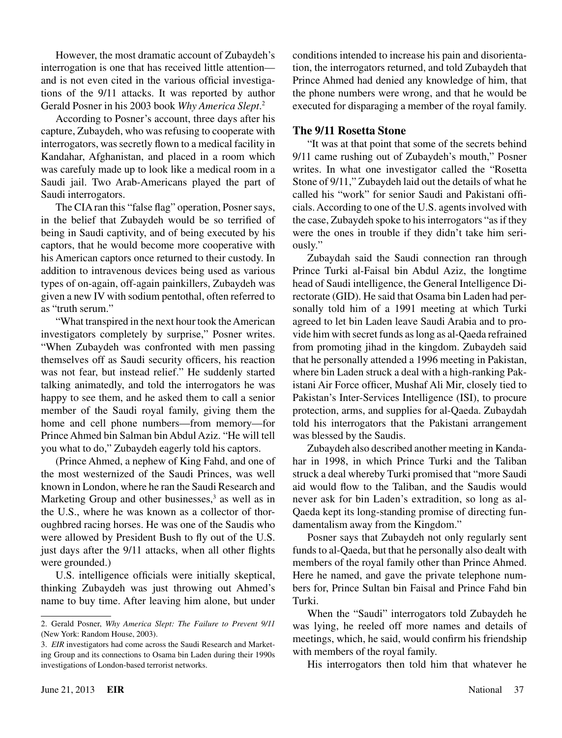However, the most dramatic account of Zubaydeh's interrogation is one that has received little attention and is not even cited in the various official investigations of the 9/11 attacks. It was reported by author Gerald Posner in his 2003 book *Why America Slept*. 2

According to Posner's account, three days after his capture, Zubaydeh, who was refusing to cooperate with interrogators, was secretly flown to a medical facility in Kandahar, Afghanistan, and placed in a room which was carefuly made up to look like a medical room in a Saudi jail. Two Arab-Americans played the part of Saudi interrogators.

The CIA ran this "false flag" operation, Posner says, in the belief that Zubaydeh would be so terrified of being in Saudi captivity, and of being executed by his captors, that he would become more cooperative with his American captors once returned to their custody. In addition to intravenous devices being used as various types of on-again, off-again painkillers, Zubaydeh was given a new IV with sodium pentothal, often referred to as "truth serum."

"What transpired in the next hour took the American investigators completely by surprise," Posner writes. "When Zubaydeh was confronted with men passing themselves off as Saudi security officers, his reaction was not fear, but instead relief." He suddenly started talking animatedly, and told the interrogators he was happy to see them, and he asked them to call a senior member of the Saudi royal family, giving them the home and cell phone numbers—from memory—for Prince Ahmed bin Salman bin Abdul Aziz. "He will tell you what to do," Zubaydeh eagerly told his captors.

(Prince Ahmed, a nephew of King Fahd, and one of the most westernized of the Saudi Princes, was well known in London, where he ran the Saudi Research and Marketing Group and other businesses,<sup>3</sup> as well as in the U.S., where he was known as a collector of thoroughbred racing horses. He was one of the Saudis who were allowed by President Bush to fly out of the U.S. just days after the 9/11 attacks, when all other flights were grounded.)

U.S. intelligence officials were initially skeptical, thinking Zubaydeh was just throwing out Ahmed's name to buy time. After leaving him alone, but under conditions intended to increase his pain and disorientation, the interrogators returned, and told Zubaydeh that Prince Ahmed had denied any knowledge of him, that the phone numbers were wrong, and that he would be executed for disparaging a member of the royal family.

# **The 9/11 Rosetta Stone**

"It was at that point that some of the secrets behind 9/11 came rushing out of Zubaydeh's mouth," Posner writes. In what one investigator called the "Rosetta Stone of 9/11," Zubaydeh laid out the details of what he called his "work" for senior Saudi and Pakistani officials. According to one of the U.S. agents involved with the case, Zubaydeh spoke to his interrogators "as if they were the ones in trouble if they didn't take him seriously."

Zubaydah said the Saudi connection ran through Prince Turki al-Faisal bin Abdul Aziz, the longtime head of Saudi intelligence, the General Intelligence Directorate (GID). He said that Osama bin Laden had personally told him of a 1991 meeting at which Turki agreed to let bin Laden leave Saudi Arabia and to provide him with secret funds as long as al-Qaeda refrained from promoting jihad in the kingdom. Zubaydeh said that he personally attended a 1996 meeting in Pakistan, where bin Laden struck a deal with a high-ranking Pakistani Air Force officer, Mushaf Ali Mir, closely tied to Pakistan's Inter-Services Intelligence (ISI), to procure protection, arms, and supplies for al-Qaeda. Zubaydah told his interrogators that the Pakistani arrangement was blessed by the Saudis.

Zubaydeh also described another meeting in Kandahar in 1998, in which Prince Turki and the Taliban struck a deal whereby Turki promised that "more Saudi aid would flow to the Taliban, and the Saudis would never ask for bin Laden's extradition, so long as al-Qaeda kept its long-standing promise of directing fundamentalism away from the Kingdom."

Posner says that Zubaydeh not only regularly sent funds to al-Qaeda, but that he personally also dealt with members of the royal family other than Prince Ahmed. Here he named, and gave the private telephone numbers for, Prince Sultan bin Faisal and Prince Fahd bin Turki.

When the "Saudi" interrogators told Zubaydeh he was lying, he reeled off more names and details of meetings, which, he said, would confirm his friendship with members of the royal family.

His interrogators then told him that whatever he

<sup>2.</sup> Gerald Posner, *Why America Slept: The Failure to Prevent 9/11* (New York: Random House, 2003).

<sup>3.</sup> *EIR* investigators had come across the Saudi Research and Marketing Group and its connections to Osama bin Laden during their 1990s investigations of London-based terrorist networks.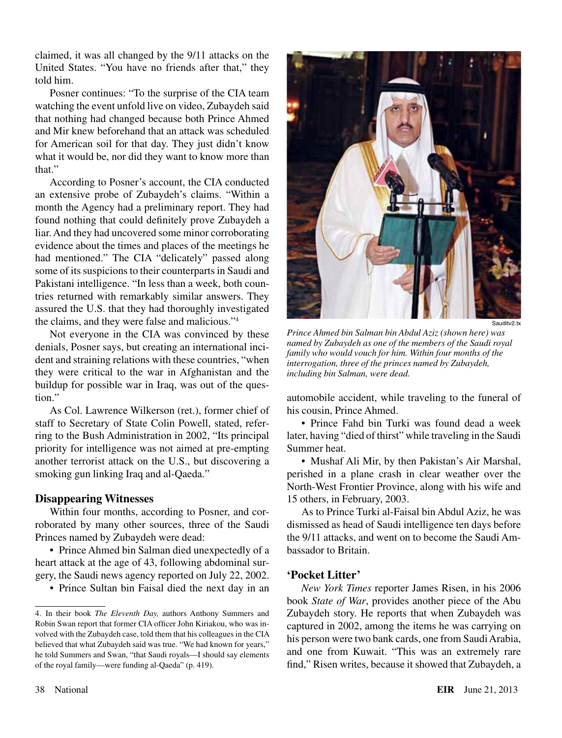claimed, it was all changed by the 9/11 attacks on the United States. "You have no friends after that," they told him.

Posner continues: "To the surprise of the CIA team watching the event unfold live on video, Zubaydeh said that nothing had changed because both Prince Ahmed and Mir knew beforehand that an attack was scheduled for American soil for that day. They just didn't know what it would be, nor did they want to know more than that."

According to Posner's account, the CIA conducted an extensive probe of Zubaydeh's claims. "Within a month the Agency had a preliminary report. They had found nothing that could definitely prove Zubaydeh a liar. And they had uncovered some minor corroborating evidence about the times and places of the meetings he had mentioned." The CIA "delicately" passed along some of its suspicions to their counterparts in Saudi and Pakistani intelligence. "In less than a week, both countries returned with remarkably similar answers. They assured the U.S. that they had thoroughly investigated the claims, and they were false and malicious."4

Not everyone in the CIA was convinced by these denials, Posner says, but creating an international incident and straining relations with these countries, "when they were critical to the war in Afghanistan and the buildup for possible war in Iraq, was out of the question."

As Col. Lawrence Wilkerson (ret.), former chief of staff to Secretary of State Colin Powell, stated, referring to the Bush Administration in 2002, "Its principal priority for intelligence was not aimed at pre-empting another terrorist attack on the U.S., but discovering a smoking gun linking Iraq and al-Qaeda."

# **Disappearing Witnesses**

Within four months, according to Posner, and corroborated by many other sources, three of the Saudi Princes named by Zubaydeh were dead:

• Prince Ahmed bin Salman died unexpectedly of a heart attack at the age of 43, following abdominal surgery, the Saudi news agency reported on July 22, 2002.

• Prince Sultan bin Faisal died the next day in an



Sauditv2.tx

*Prince Ahmed bin Salman bin Abdul Aziz (shown here) was named by Zubaydeh as one of the members of the Saudi royal family who would vouch for him. Within four months of the interrogation, three of the princes named by Zubaydeh, including bin Salman, were dead.*

automobile accident, while traveling to the funeral of his cousin, Prince Ahmed.

• Prince Fahd bin Turki was found dead a week later, having "died of thirst" while traveling in the Saudi Summer heat.

• Mushaf Ali Mir, by then Pakistan's Air Marshal, perished in a plane crash in clear weather over the North-West Frontier Province, along with his wife and 15 others, in February, 2003.

As to Prince Turki al-Faisal bin Abdul Aziz, he was dismissed as head of Saudi intelligence ten days before the 9/11 attacks, and went on to become the Saudi Ambassador to Britain.

# **'Pocket Litter'**

*New York Times* reporter James Risen, in his 2006 book *State of War*, provides another piece of the Abu Zubaydeh story. He reports that when Zubaydeh was captured in 2002, among the items he was carrying on his person were two bank cards, one from Saudi Arabia, and one from Kuwait. "This was an extremely rare find," Risen writes, because it showed that Zubaydeh, a

<sup>4.</sup> In their book *The Eleventh Day,* authors Anthony Summers and Robin Swan report that former CIA officer John Kiriakou, who was involved with the Zubaydeh case, told them that his colleagues in the CIA believed that what Zubaydeh said was true. "We had known for years," he told Summers and Swan, "that Saudi royals—I should say elements of the royal family—were funding al-Qaeda" (p. 419).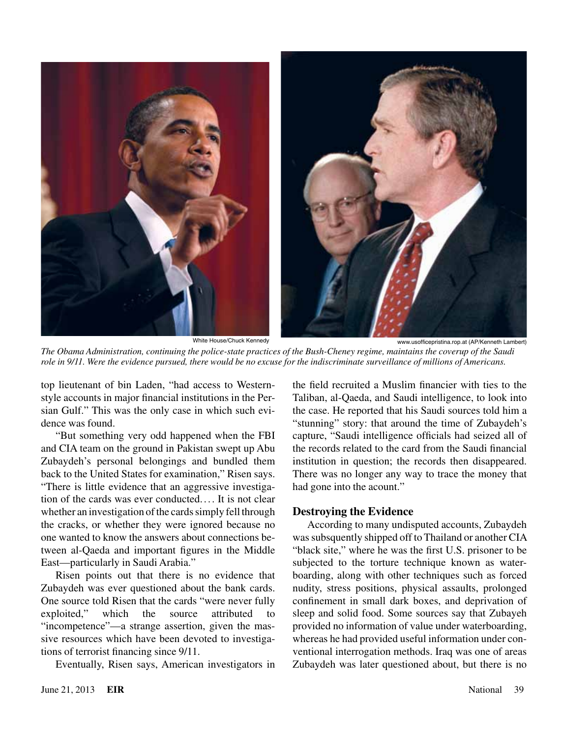

*The Obama Administration, continuing the police-state practices of the Bush-Cheney regime, maintains the coverup of the Saudi role in 9/11. Were the evidence pursued, there would be no excuse for the indiscriminate surveillance of millions of Americans.*

top lieutenant of bin Laden, "had access to Westernstyle accounts in major financial institutions in the Persian Gulf." This was the only case in which such evidence was found.

"But something very odd happened when the FBI and CIA team on the ground in Pakistan swept up Abu Zubaydeh's personal belongings and bundled them back to the United States for examination," Risen says. "There is little evidence that an aggressive investigation of the cards was ever conducted.... It is not clear whether an investigation of the cards simply fell through the cracks, or whether they were ignored because no one wanted to know the answers about connections between al-Qaeda and important figures in the Middle East—particularly in Saudi Arabia."

Risen points out that there is no evidence that Zubaydeh was ever questioned about the bank cards. One source told Risen that the cards "were never fully exploited," which the source attributed to "incompetence"—a strange assertion, given the massive resources which have been devoted to investigations of terrorist financing since 9/11.

Eventually, Risen says, American investigators in

the field recruited a Muslim financier with ties to the Taliban, al-Qaeda, and Saudi intelligence, to look into the case. He reported that his Saudi sources told him a "stunning" story: that around the time of Zubaydeh's capture, "Saudi intelligence officials had seized all of the records related to the card from the Saudi financial institution in question; the records then disappeared. There was no longer any way to trace the money that had gone into the acount."

# **Destroying the Evidence**

According to many undisputed accounts, Zubaydeh was subsquently shipped off to Thailand or another CIA "black site," where he was the first U.S. prisoner to be subjected to the torture technique known as waterboarding, along with other techniques such as forced nudity, stress positions, physical assaults, prolonged confinement in small dark boxes, and deprivation of sleep and solid food. Some sources say that Zubayeh provided no information of value under waterboarding, whereas he had provided useful information under conventional interrogation methods. Iraq was one of areas Zubaydeh was later questioned about, but there is no